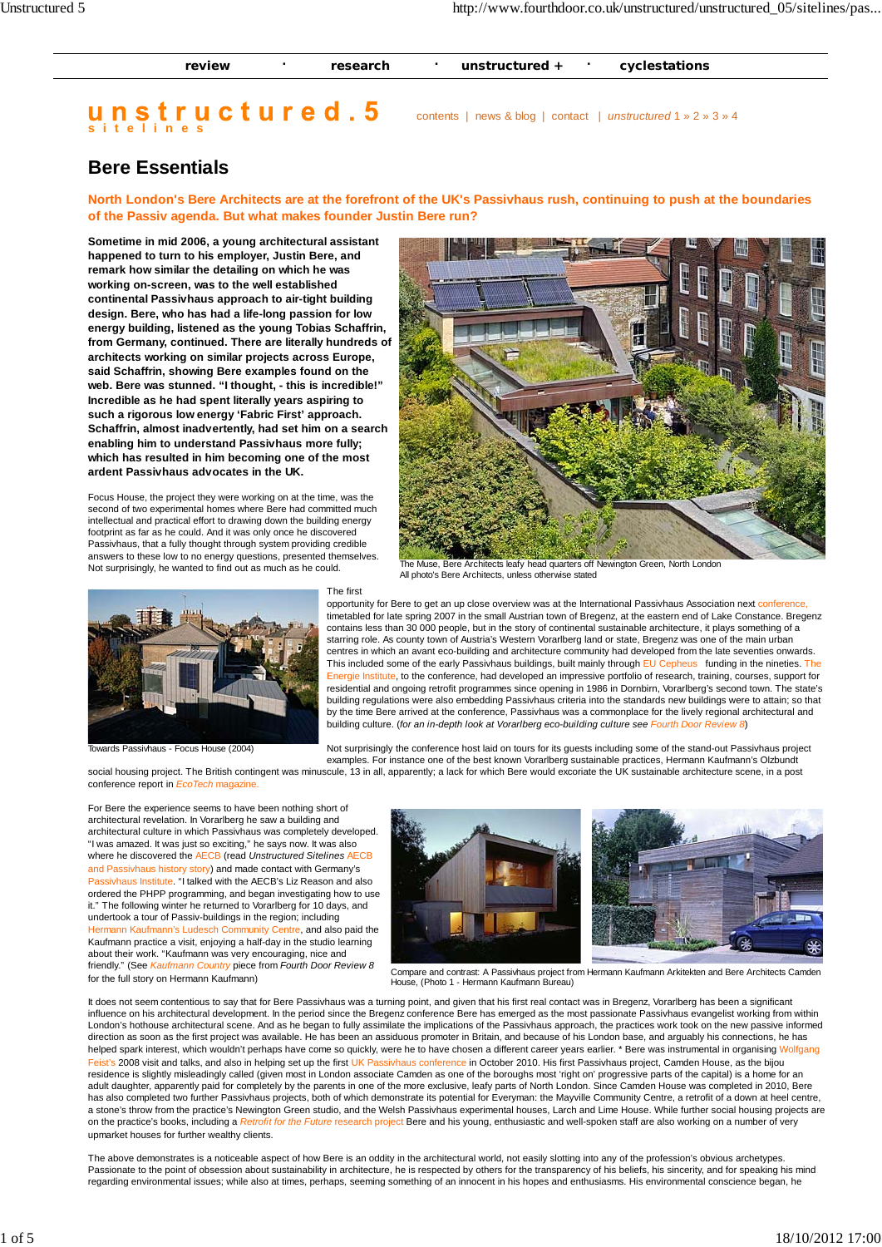| review | research | unstructured $+$ | cyclestations |
|--------|----------|------------------|---------------|
|        |          |                  |               |

## **sitelines**

contents | news & blog | contact | *unstructured* 1 » 2 » 3 » 4

## **Bere Essentials**

**North London's Bere Architects are at the forefront of the UK's Passivhaus rush, continuing to push at the boundaries of the Passiv agenda. But what makes founder Justin Bere run?**

**Sometime in mid 2006, a young architectural assistant happened to turn to his employer, Justin Bere, and remark how similar the detailing on which he was working on-screen, was to the well established continental Passivhaus approach to air-tight building design. Bere, who has had a life-long passion for low energy building, listened as the young Tobias Schaffrin, from Germany, continued. There are literally hundreds of architects working on similar projects across Europe, said Schaffrin, showing Bere examples found on the web. Bere was stunned. "I thought, - this is incredible!" Incredible as he had spent literally years aspiring to such a rigorous low energy 'Fabric First' approach. Schaffrin, almost inadvertently, had set him on a search enabling him to understand Passivhaus more fully; which has resulted in him becoming one of the most ardent Passivhaus advocates in the UK.**

Focus House, the project they were working on at the time, was the second of two experimental homes where Bere had committed much intellectual and practical effort to drawing down the building energy footprint as far as he could. And it was only once he discovered Passivhaus, that a fully thought through system providing credible answers to these low to no energy questions, presented themselves. Not surprisingly, he wanted to find out as much as he could.



## The first



Towards Passivhaus - Focus House (2004)

Not surprisingly the conference host laid on tours for its guests including some of the stand-out Passivhaus project examples. For instance one of the best known Vorarlberg sustainable practices, Hermann Kaufmann's Olzbundt

building culture. (*for an in-depth look at Vorarlberg eco-building culture see Fourth Door Review 8*)

building regulations were also embedding Passivhaus criteria into the standards new buildings were to attain; so that by the time Bere arrived at the conference, Passivhaus was a commonplace for the lively regional architectural and

social housing project. The British contingent was minuscule, 13 in all, apparently; a lack for which Bere would excoriate the UK sustainable architecture scene, in a post conference report in *EcoTech* magazine.

For Bere the experience seems to have been nothing short of architectural revelation. In Vorarlberg he saw a building and architectural culture in which Passivhaus was completely developed. "I was amazed. It was just so exciting," he says now. It was also where he discovered the AECB (read *Unstructured Sitelines* AECB and Passivhaus history story) and made contact with Germany's Passivhaus Institute. "I talked with the AECB's Liz Reason and also ordered the PHPP programming, and began investigating how to use it." The following winter he returned to Vorarlberg for 10 days, and undertook a tour of Passiv-buildings in the region; including Hermann Kaufmann's Ludesch Community Centre, and also paid the Kaufmann practice a visit, enjoying a half-day in the studio learning about their work. "Kaufmann was very encouraging, nice and friendly." (See *Kaufmann Country* piece from *Fourth Door Review 8* for the full story on Hermann Kaufmann)



Compare and contrast: A Passivhaus project from Hermann Kaufmann Arkitekten and Bere Architects Camden House, (Photo 1 - Hermann Kaufmann Bureau)

It does not seem contentious to say that for Bere Passivhaus was a turning point, and given that his first real contact was in Bregenz, Vorarlberg has been a significant influence on his architectural development. In the period since the Bregenz conference Bere has emerged as the most passionate Passivhaus evangelist working from within London's hothouse architectural scene. And as he began to fully assimilate the implications of the Passivhaus approach, the practices work took on the new passive informed direction as soon as the first project was available. He has been an assiduous promoter in Britain, and because of his London base, and arguably his connections, he has helped spark interest, which wouldn't perhaps have come so quickly, were he to have chosen a different career years earlier. \* Bere was instrumental in organising Wolfgang Feist's 2008 visit and talks, and also in helping set up the first UK Passivhaus conference in October 2010. His first Passivhaus project, Camden House, as the bijou residence is slightly misleadingly called (given most in London associate Camden as one of the boroughs most 'right on' progressive parts of the capital) is a home for an<br>adult daughter, apparently paid for completely by t has also completed two further Passivhaus projects, both of which demonstrate its potential for Everyman: the Mayville Community Centre, a retrofit of a down at heel centre, a stone's throw from the practice's Newington Green studio, and the Welsh Passivhaus experimental houses, Larch and Lime House. While further social housing projects are on the practice's books, including a *Retrofit for the Future* research project Bere and his young, enthusiastic and well-spoken staff are also working on a number of very upmarket houses for further wealthy clients.

The above demonstrates is a noticeable aspect of how Bere is an oddity in the architectural world, not easily slotting into any of the profession's obvious archetypes. Passionate to the point of obsession about sustainability in architecture, he is respected by others for the transparency of his beliefs, his sincerity, and for speaking his mind regarding environmental issues; while also at times, perhaps, seeming something of an innocent in his hopes and enthusiasms. His environmental conscience began, he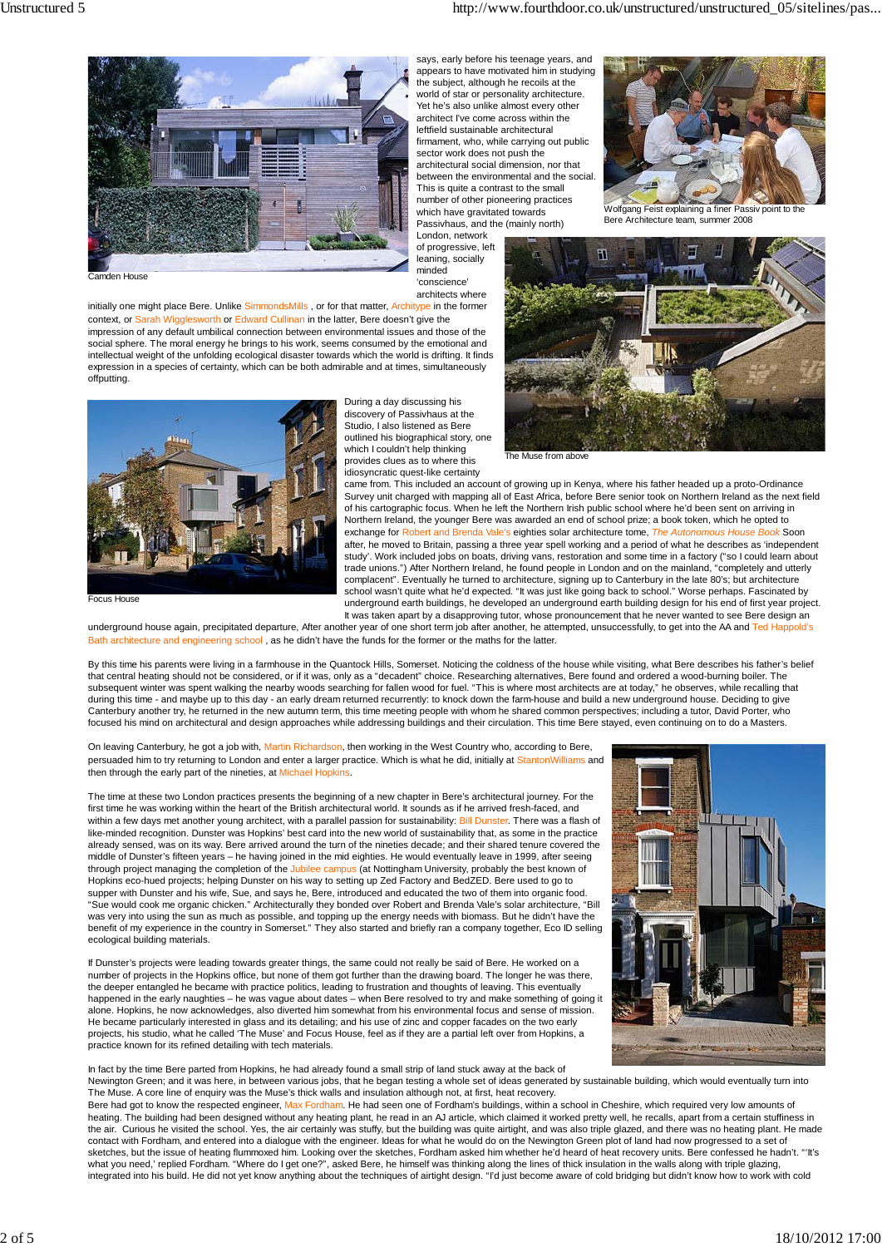

says, early before his teenage years, and appears to have motivated him in studying the subject, although he recoils at the world of star or personality architecture. Yet he's also unlike almost every other architect I've come across within the leftfield sustainable architectural firmament, who, while carrying out public sector work does not push the architectural social dimension, nor that between the environmental and the social. This is quite a contrast to the small number of other pioneering practices which have gravitated towards Passivhaus, and the (mainly north) London, network

of progressive, left leaning, socially minded 'conscience' architects where

Camden House

initially one might place Bere. Unlike SimmondsMills, or for that matter, Architype in the former ligglesworth or Edward Cullinan in the latter, Bere doesn't give the impression of any default umbilical connection between environmental issues and those of the social sphere. The moral energy he brings to his work, seems consumed by the emotional and intellectual weight of the unfolding ecological disaster towards which the world is drifting. It finds expression in a species of certainty, which can be both admirable and at times, simultaneously offputting.



Focus House

During a day discussing his discovery of Passivhaus at the Studio, I also listened as Bere outlined his biographical story, one which I couldn't help thinking provides clues as to where this idiosyncratic quest-like certainty



Bere Architecture team, summer 2008



The Muse from above

came from. This included an account of growing up in Kenya, where his father headed up a proto-Ordinance Survey unit charged with mapping all of East Africa, before Bere senior took on Northern Ireland as the next field of his cartographic focus. When he left the Northern Irish public school where he'd been sent on arriving in Northern Ireland, the younger Bere was awarded an end of school prize; a book token, which he opted to exchange for Robert and Brenda Vale's eighties solar architecture tome, *The Autonomous House B* after, he moved to Britain, passing a three year spell working and a period of what he describes as 'independent study'. Work included jobs on boats, driving vans, restoration and some time in a factory ("so I could learn about trade unions.") After Northern Ireland, he found people in London and on the mainland, "completely and utterly complacent". Eventually he turned to architecture, signing up to Canterbury in the late 80's; but architecture school wasn't quite what he'd expected. "It was just like going back to school." Worse perhaps. Fascinated by underground earth buildings, he developed an underground earth building design for his end of first year project. It was taken apart by a disapproving tutor, whose pronouncement that he never wanted to see Bere design an

underground house again, precipitated departure, After another year of one short term job after another, he attempted, unsuccessfully, to get into the AA and Ted Happold's Bath architecture and engineering school , as he didn't have the funds for the former or the maths for the latter.

By this time his parents were living in a farmhouse in the Quantock Hills, Somerset. Noticing the coldness of the house while visiting, what Bere describes his father's belief that central heating should not be considered, or if it was, only as a "decadent" choice. Researching alternatives, Bere found and ordered a wood-burning boiler. The<br>subsequent winter was spent walking the nearby woods sea during this time - and maybe up to this day - an early dream returned recurrently: to knock down the farm-house and build a new underground house. Deciding to give Canterbury another try, he returned in the new autumn term, this time meeting people with whom he shared common perspectives; including a tutor, David Porter, who focused his mind on architectural and design approaches while addressing buildings and their circulation. This time Bere stayed, even continuing on to do a Masters.

On leaving Canterbury, he got a job with, Martin Richardson, then working in the West Country who, according to Bere, persuaded him to try returning to London and enter a larger practice. Which is what he did, initially at StantonWilliams and then through the early part of the nineties, at Michael Hopkins.

The time at these two London practices presents the beginning of a new chapter in Bere's architectural journey. For the first time he was working within the heart of the British architectural world. It sounds as if he arrived fresh-faced, and within a few days met another young architect, with a parallel passion for sustainability: Bill Dunster. There was a flash of like-minded recognition. Dunster was Hopkins' best card into the new world of sustainability that, as some in the practice already sensed, was on its way. Bere arrived around the turn of the nineties decade; and their shared tenure covered the middle of Dunster's fifteen years – he having joined in the mid eighties. He would eventually leave in 1999, after seeing through project managing the completion of the Jubilee campus (at Nottingham University, probably the best known of Hopkins eco-hued projects; helping Dunster on his way to setting up Zed Factory and BedZED. Bere used to go to supper with Dunster and his wife, Sue, and says he, Bere, introduced and educated the two of them into organic food. "Sue would cook me organic chicken." Architecturally they bonded over Robert and Brenda Vale's solar architecture, "Bill was very into using the sun as much as possible, and topping up the energy needs with biomass. But he didn't have the benefit of my experience in the country in Somerset." They also started and briefly ran a company together, Eco ID selling ecological building materials.

If Dunster's projects were leading towards greater things, the same could not really be said of Bere. He worked on a number of projects in the Hopkins office, but none of them got further than the drawing board. The longer he was there, the deeper entangled he became with practice politics, leading to frustration and thoughts of leaving. This eventually<br>happened in the early naughties – he was vague about dates – when Bere resolved to try and make somethi alone. Hopkins, he now acknowledges, also diverted him somewhat from his environmental focus and sense of mission. He became particularly interested in glass and its detailing; and his use of zinc and copper facades on the two early projects, his studio, what he called 'The Muse' and Focus House, feel as if they are a partial left over from Hopkins, a practice known for its refined detailing with tech materials.

In fact by the time Bere parted from Hopkins, he had already found a small strip of land stuck away at the back of Newington Green; and it was here, in between various jobs, that he began testing a whole set of ideas generated by sustainable building, which would eventually turn into The Muse. A core line of enquiry was the Muse's thick walls and insulation although not, at first, heat recovery.

Bere had got to know the respected engineer, Max Fordham. He had seen one of Fordham's buildings, within a school in Cheshire, which required very low amounts of heating. The building had been designed without any heating plant, he read in an AJ article, which claimed it worked pretty well, he recalls, apart from a certain stuffiness in the air. Curious he visited the school. Yes, the air certainly was stuffy, but the building was quite airtight, and was also triple glazed, and there was no heating plant. He made contact with Fordham, and entered into a dialogue with the engineer. Ideas for what he would do on the Newington Green plot of land had now progressed to a set of sketches, but the issue of heating flummoxed him. Looking over the sketches, Fordham asked him whether he'd heard of heat recovery units. Bere confessed he hadn't. "'It's what you need,' replied Fordham. "Where do I get one?", asked Bere, he himself was thinking along the lines of thick insulation in the walls along with triple glazing,<br>integrated into his build. He did not yet know anythin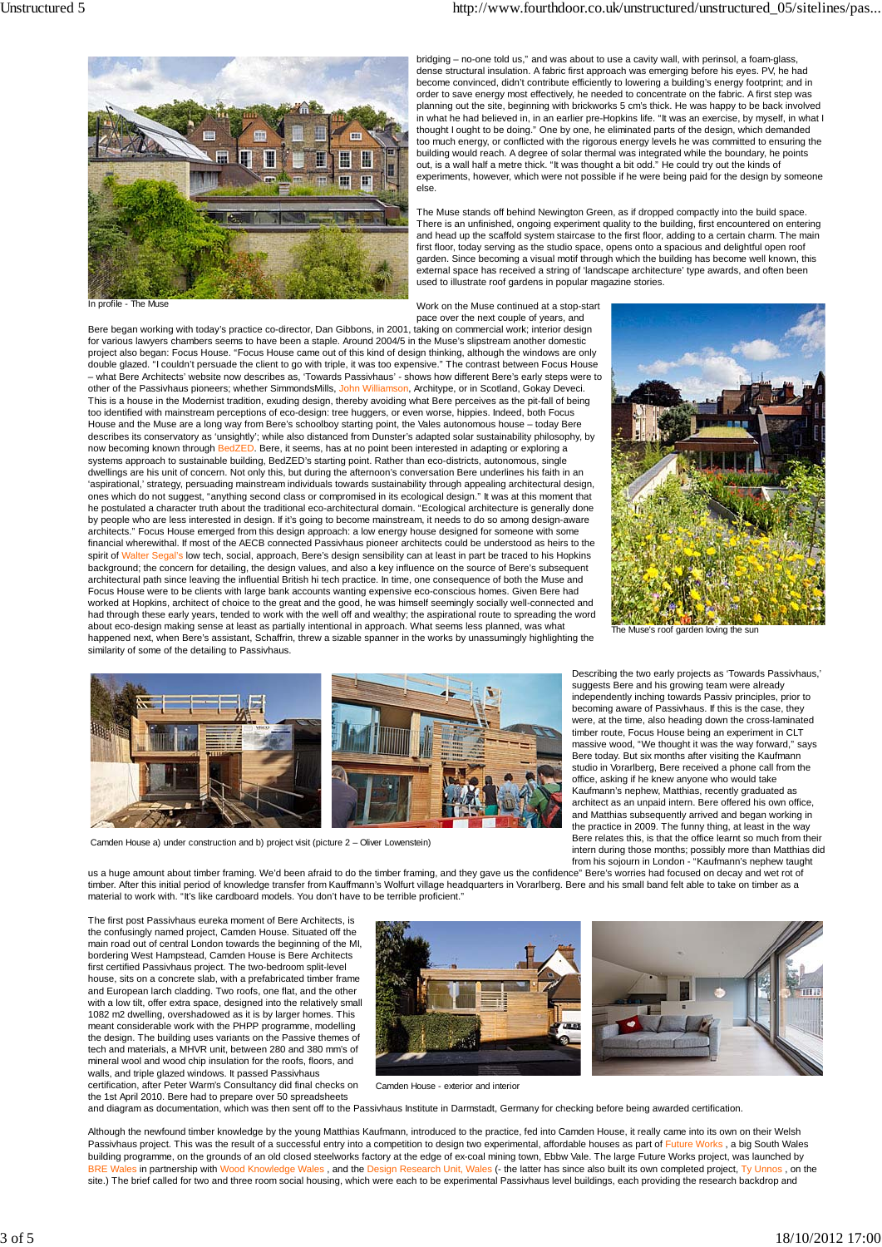

bridging – no-one told us," and was about to use a cavity wall, with perinsol, a foam-glass, dense structural insulation. A fabric first approach was emerging before his eyes. PV, he had become convinced, didn't contribute efficiently to lowering a building's energy footprint; and in order to save energy most effectively, he needed to concentrate on the fabric. A first step was planning out the site, beginning with brickworks 5 cm's thick. He was happy to be back involved in what he had believed in, in an earlier pre-Hopkins life. "It was an exercise, by myself, in what I thought I ought to be doing." One by one, he eliminated parts of the design, which demanded too much energy, or conflicted with the rigorous energy levels he was committed to ensuring the building would reach. A degree of solar thermal was integrated while the boundary, he points out, is a wall half a metre thick. "It was thought a bit odd." He could try out the kinds of experiments, however, which were not possible if he were being paid for the design by someone else.

The Muse stands off behind Newington Green, as if dropped compactly into the build space. There is an unfinished, ongoing experiment quality to the building, first encountered on entering and head up the scaffold system staircase to the first floor, adding to a certain charm. The main first floor, today serving as the studio space, opens onto a spacious and delightful open roof garden. Since becoming a visual motif through which the building has become well known, this external space has received a string of 'landscape architecture' type awards, and often been used to illustrate roof gardens in popular magazine stories.

In profile

Work on the Muse continued at a stop-start pace over the next couple of years, and

Bere began working with today's practice co-director, Dan Gibbons, in 2001, taking on commercial work; interior design for various lawyers chambers seems to have been a staple. Around 2004/5 in the Muse's slipstream another domestic project also began: Focus House. "Focus House came out of this kind of design thinking, although the windows are only double glazed. "I couldn't persuade the client to go with triple, it was too expensive." The contrast between Focus House – what Bere Architects' website now describes as, 'Towards Passivhaus' - shows how different Bere's early steps were to other of the Passivhaus pioneers; whether SimmondsMills, John Williamson, Architype, or in Scotland, Gokay Deveci. This is a house in the Modernist tradition, exuding design, thereby avoiding what Bere perceives as the pit-fall of being too identified with mainstream perceptions of eco-design: tree huggers, or even worse, hippies. Indeed, both Focus<br>House and the Muse are a long way from Bere's schoolboy starting point, the Vales autonomous house – today describes its conservatory as 'unsightly'; while also distanced from Dunster's adapted solar sustainability philosophy, by now becoming known through BedZED. Bere, it seems, has at no point been interested in adapting or exploring a systems approach to sustainable building, BedZED's starting point. Rather than eco-districts, autonomous, single dwellings are his unit of concern. Not only this, but during the afternoon's conversation Bere underlines his faith in an 'aspirational,' strategy, persuading mainstream individuals towards sustainability through appealing architectural design,<br>ones which do not suggest, "anything second class or compromised in its ecological design." It was he postulated a character truth about the traditional eco-architectural domain. "Ecological architecture is generally done by people who are less interested in design. If it's going to become mainstream, it needs to do so among design-aware architects." Focus House emerged from this design approach: a low energy house designed for someone with some financial wherewithal. If most of the AECB connected Passivhaus pioneer architects could be understood as heirs to the spirit of Walter Segal's low tech, social, approach, Bere's design sensibility can at least in part be traced to his Hopkins background; the concern for detailing, the design values, and also a key influence on the source of Bere's subsequent architectural path since leaving the influential British hi tech practice. In time, one consequence of both the Muse and Focus House were to be clients with large bank accounts wanting expensive eco-conscious homes. Given Bere had<br>worked at Hopkins, architect of choice to the great and the good, he was himself seemingly socially well-connect had through these early years, tended to work with the well off and wealthy; the aspirational route to spreading the word about eco-design making sense at least as partially intentional in approach. What seems less planned, was what happened next, when Bere's assistant, Schaffrin, threw a sizable spanner in the works by unassumingly highlighting the similarity of some of the detailing to Passivhaus.



The Muse's roof garden loving the sur



Camden House a) under construction and b) project visit (picture 2 – Oliver Lowenstein)

Describing the two early projects as 'Towards Passivhaus,' suggests Bere and his growing team were already independently inching towards Passiv principles, prior to becoming aware of Passivhaus. If this is the case, they were, at the time, also heading down the cross-laminated timber route, Focus House being an experiment in CLT massive wood, "We thought it was the way forward," says Bere today. But six months after visiting the Kaufmann studio in Vorarlberg, Bere received a phone call from the office, asking if he knew anyone who would take Kaufmann's nephew, Matthias, recently graduated as architect as an unpaid intern. Bere offered his own office, and Matthias subsequently arrived and began working in the practice in 2009. The funny thing, at least in the way Bere relates this, is that the office learnt so much from their intern during those months; possibly more than Matthias did from his sojourn in London - "Kaufmann's nephew taught

us a huge amount about timber framing. We'd been afraid to do the timber framing, and they gave us the confidence" Bere's worries had focused on decay and wet rot of timber. After this initial period of knowledge transfer from Kauffmann's Wolfurt village headquarters in Vorarlberg. Bere and his small band felt able to take on timber as a material to work with. "It's like cardboard models. You don't have to be terrible proficient."

The first post Passivhaus eureka moment of Bere Architects, is the confusingly named project, Camden House. Situated off the main road out of central London towards the beginning of the MI, bordering West Hampstead, Camden House is Bere Architects first certified Passivhaus project. The two-bedroom split-level house, sits on a concrete slab, with a prefabricated timber frame and European larch cladding. Two roofs, one flat, and the other with a low tilt, offer extra space, designed into the relatively small 1082 m2 dwelling, overshadowed as it is by larger homes. This meant considerable work with the PHPP programme, modelling the design. The building uses variants on the Passive themes of tech and materials, a MHVR unit, between 280 and 380 mm's of mineral wool and wood chip insulation for the roofs, floors, and walls, and triple glazed windows. It passed Passivhaus certification, after Peter Warm's Consultancy did final checks on



Camden House - exterior and interior

the 1st April 2010. Bere had to prepare over 50 spreadsheets and diagram as documentation, which was then sent off to the Passivhaus Institute in Darmstadt, Germany for checking before being awarded certification.

Although the newfound timber knowledge by the young Matthias Kaufmann, introduced to the practice, fed into Camden House, it really came into its own on their Welsh Passivhaus project. This was the result of a successful entry into a competition to design two experimental, affordable houses as part of Future Works, a big South Wales building programme, on the grounds of an old closed steelworks factory at the edge of ex-coal mining town, Ebbw Vale. The large Future Works project, was launched by BRE Wales in partnership with Wood Knowledge Wales , and the Design Research Unit, Wales (- the latter has since also built its own completed project, Ty Unnos , on the site.) The brief called for two and three room social housing, which were each to be experimental Passivhaus level buildings, each providing the research backdrop and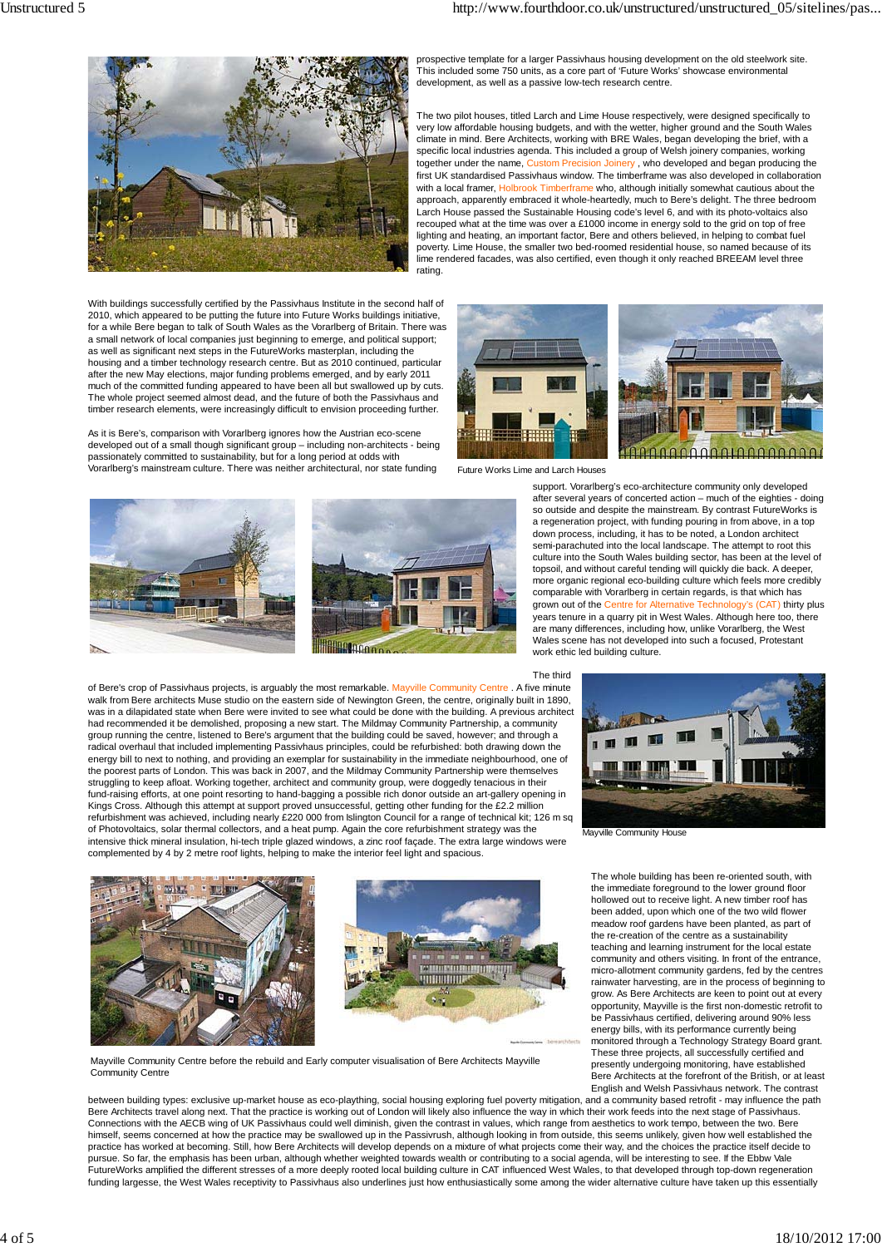

With buildings successfully certified by the Passivhaus Institute in the second half of 2010, which appeared to be putting the future into Future Works buildings initiative, for a while Bere began to talk of South Wales as the Vorarlberg of Britain. There was a small network of local companies just beginning to emerge, and political support; as well as significant next steps in the FutureWorks masterplan, including the housing and a timber technology research centre. But as 2010 continued, particular after the new May elections, major funding problems emerged, and by early 2011 much of the committed funding appeared to have been all but swallowed up by cuts. The whole project seemed almost dead, and the future of both the Passivhaus and timber research elements, were increasingly difficult to envision proceeding further.

As it is Bere's, comparison with Vorarlberg ignores how the Austrian eco-scene developed out of a small though significant group – including non-architects - being passionately committed to sustainability, but for a long period at odds with Vorarlberg's mainstream culture. There was neither architectural, nor state funding





of Bere's crop of Passivhaus projects, is arguably the most remarkable. Mayville Community Centre . A five minute walk from Bere architects Muse studio on the eastern side of Newington Green, the centre, originally built in 1890,<br>was in a dilapidated state when Bere were invited to see what could be done with the building. A previous had recommended it be demolished, proposing a new start. The Mildmay Community Partnership, a community group running the centre, listened to Bere's argument that the building could be saved, however; and through a radical overhaul that included implementing Passivhaus principles, could be refurbished: both drawing down the energy bill to next to nothing, and providing an exemplar for sustainability in the immediate neighbourhood, one of the poorest parts of London. This was back in 2007, and the Mildmay Community Partnership were themselves struggling to keep afloat. Working together, architect and community group, were doggedly tenacious in their<br>fund-raising efforts, at one point resorting to hand-bagging a possible rich donor outside an art-gallery opening Kings Cross. Although this attempt at support proved unsuccessful, getting other funding for the £2.2 million refurbishment was achieved, including nearly £220 000 from Islington Council for a range of technical kit; 126 m sq of Photovoltaics, solar thermal collectors, and a heat pump. Again the core refurbishment strategy was the intensive thick mineral insulation, hi-tech triple glazed windows, a zinc roof façade. The extra large windows were complemented by 4 by 2 metre roof lights, helping to make the interior feel light and spacious.





Mayville Community Centre before the rebuild and Early computer visualisation of Bere Architects Mayville Community Centre

between building types: exclusive up-market house as eco-plaything, social housing exploring fuel poverty mitigation, and a community based retrofit - may influence the path Bere Architects travel along next. That the practice is working out of London will likely also influence the way in which their work feeds into the next stage of Passivhaus. Connections with the AECB wing of UK Passivhaus could well diminish, given the contrast in values, which range from aesthetics to work tempo, between the two. Bere himself, seems concerned at how the practice may be swallowed up in the Passivrush, although looking in from outside, this seems unlikely, given how well established the practice has worked at becoming. Still, how Bere Architects will develop depends on a mixture of what projects come their way, and the choices the practice itself decide to pursue. So far, the emphasis has been urban, although whether weighted towards wealth or contributing to a social agenda, will be interesting to see. If the Ebbw Vale FutureWorks amplified the different stresses of a more deeply rooted local building culture in CAT influenced West Wales, to that developed through top-down regeneration funding largesse, the West Wales receptivity to Passivhaus also underlines just how enthusiastically some among the wider alternative culture have taken up this essentially

prospective template for a larger Passivhaus housing development on the old steelwork site. This included some 750 units, as a core part of 'Future Works' showcase environmental development, as well as a passive low-tech research centre.

The two pilot houses, titled Larch and Lime House respectively, were designed specifically to very low affordable housing budgets, and with the wetter, higher ground and the South Wales climate in mind. Bere Architects, working with BRE Wales, began developing the brief, with a specific local industries agenda. This included a group of Welsh joinery companies, working together under the name, Custom Precision Joinery , who developed and began producing the first UK standardised Passivhaus window. The timberframe was also developed in collaboration with a local framer, Holbrook Timberframe who, although initially somewhat cautious about the approach, apparently embraced it whole-heartedly, much to Bere's delight. The three bedroom Larch House passed the Sustainable Housing code's level 6, and with its photo-voltaics also recouped what at the time was over a £1000 income in energy sold to the grid on top of free lighting and heating, an important factor, Bere and others believed, in helping to combat fuel poverty. Lime House, the smaller two bed-roomed residential house, so named because of its lime rendered facades, was also certified, even though it only reached BREEAM level three rating.





Future Works Lime and Larch Houses

support. Vorarlberg's eco-architecture community only developed after several years of concerted action – much of the eighties - doing so outside and despite the mainstream. By contrast FutureWorks is a regeneration project, with funding pouring in from above, in a top down process, including, it has to be noted, a London architect semi-parachuted into the local landscape. The attempt to root this culture into the South Wales building sector, has been at the level of topsoil, and without careful tending will quickly die back. A deeper, more organic regional eco-building culture which feels more credibly comparable with Vorarlberg in certain regards, is that which has grown out of the Centre for Alternative Technology's (CAT) thirty plus years tenure in a quarry pit in West Wales. Although here too, there are many differences, including how, unlike Vorarlberg, the West Wales scene has not developed into such a focused, Protestant work ethic led building culture.





Mayville Community House

The whole building has been re-oriented south, with the immediate foreground to the lower ground floor hollowed out to receive light. A new timber roof has been added, upon which one of the two wild flower meadow roof gardens have been planted, as part of the re-creation of the centre as a sustainability teaching and learning instrument for the local estate community and others visiting. In front of the entrance, micro-allotment community gardens, fed by the centres rainwater harvesting, are in the process of beginning to grow. As Bere Architects are keen to point out at every opportunity, Mayville is the first non-domestic retrofit to be Passivhaus certified, delivering around 90% less energy bills, with its performance currently being monitored through a Technology Strategy Board grant. These three projects, all successfully certified and presently undergoing monitoring, have established Bere Architects at the forefront of the British, or at least English and Welsh Passivhaus network. The contrast